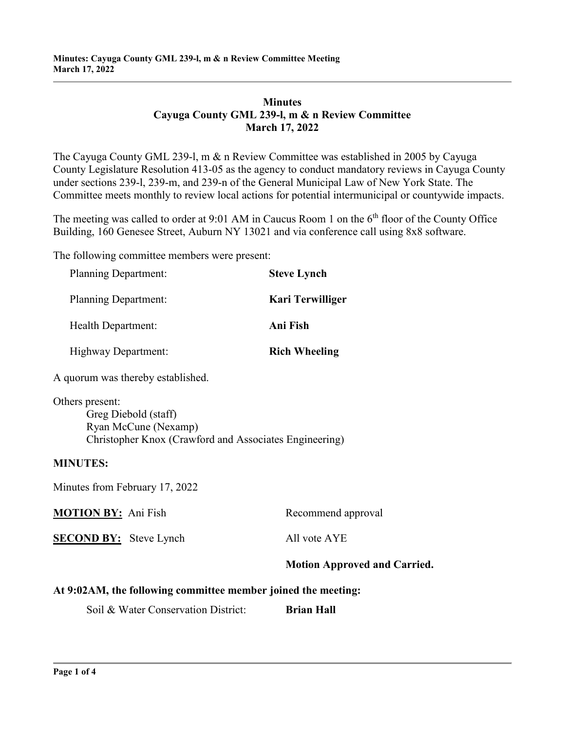# **Minutes Cayuga County GML 239-l, m & n Review Committee March 17, 2022**

The Cayuga County GML 239-l, m & n Review Committee was established in 2005 by Cayuga County Legislature Resolution 413-05 as the agency to conduct mandatory reviews in Cayuga County under sections 239-l, 239-m, and 239-n of the General Municipal Law of New York State. The Committee meets monthly to review local actions for potential intermunicipal or countywide impacts.

The meeting was called to order at 9:01 AM in Caucus Room 1 on the  $6<sup>th</sup>$  floor of the County Office Building, 160 Genesee Street, Auburn NY 13021 and via conference call using 8x8 software.

The following committee members were present:

| <b>Planning Department:</b>       | <b>Steve Lynch</b>   |
|-----------------------------------|----------------------|
| <b>Planning Department:</b>       | Kari Terwilliger     |
| Health Department:                | Ani Fish             |
| Highway Department:               | <b>Rich Wheeling</b> |
| A quorum was thereby established. |                      |

Others present: Greg Diebold (staff) Ryan McCune (Nexamp) Christopher Knox (Crawford and Associates Engineering)

#### **MINUTES:**

Minutes from February 17, 2022

|                               | <b>Motion Approved and Carried.</b> |
|-------------------------------|-------------------------------------|
| <b>SECOND BY:</b> Steve Lynch | All vote AYE                        |
| <b>MOTION BY:</b> Ani Fish    | Recommend approval                  |

#### **At 9:02AM, the following committee member joined the meeting:**

Soil & Water Conservation District: **Brian Hall**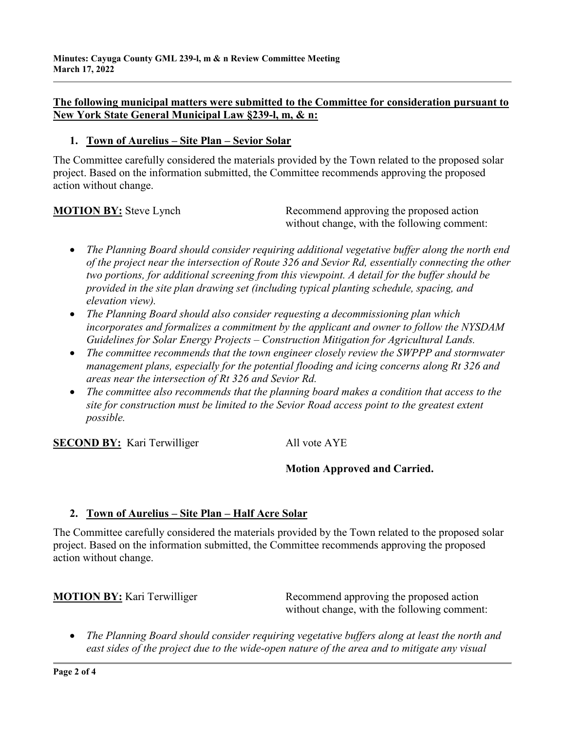## **The following municipal matters were submitted to the Committee for consideration pursuant to New York State General Municipal Law §239-l, m, & n:**

#### **1. Town of Aurelius – Site Plan – Sevior Solar**

The Committee carefully considered the materials provided by the Town related to the proposed solar project. Based on the information submitted, the Committee recommends approving the proposed action without change.

**MOTION BY:** Steve Lynch Recommend approving the proposed action without change, with the following comment:

- *The Planning Board should consider requiring additional vegetative buffer along the north end of the project near the intersection of Route 326 and Sevior Rd, essentially connecting the other two portions, for additional screening from this viewpoint. A detail for the buffer should be provided in the site plan drawing set (including typical planting schedule, spacing, and elevation view).*
- *The Planning Board should also consider requesting a decommissioning plan which incorporates and formalizes a commitment by the applicant and owner to follow the NYSDAM Guidelines for Solar Energy Projects – Construction Mitigation for Agricultural Lands.*
- *The committee recommends that the town engineer closely review the SWPPP and stormwater management plans, especially for the potential flooding and icing concerns along Rt 326 and areas near the intersection of Rt 326 and Sevior Rd.*
- *The committee also recommends that the planning board makes a condition that access to the site for construction must be limited to the Sevior Road access point to the greatest extent possible.*

**SECOND BY:** Kari Terwilliger All vote AYE

# **Motion Approved and Carried.**

# **2. Town of Aurelius – Site Plan – Half Acre Solar**

The Committee carefully considered the materials provided by the Town related to the proposed solar project. Based on the information submitted, the Committee recommends approving the proposed action without change.

**MOTION BY:** Kari Terwilliger Recommend approving the proposed action without change, with the following comment:

• *The Planning Board should consider requiring vegetative buffers along at least the north and east sides of the project due to the wide-open nature of the area and to mitigate any visual*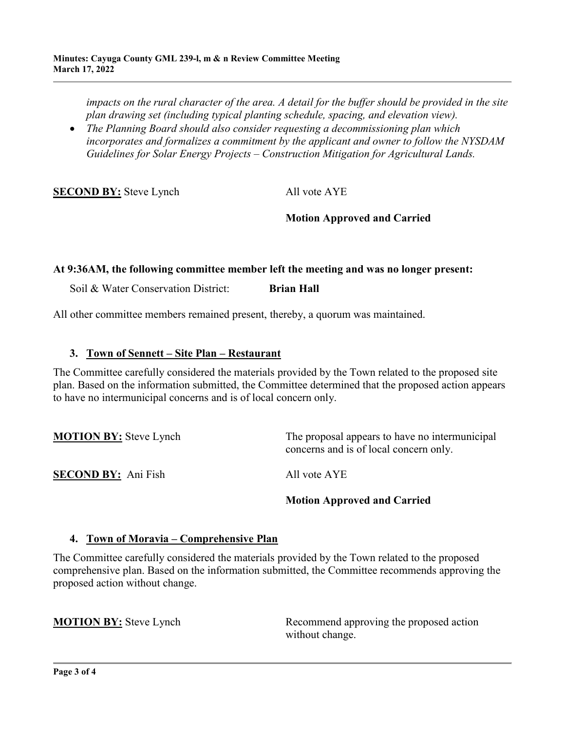*impacts on the rural character of the area. A detail for the buffer should be provided in the site plan drawing set (including typical planting schedule, spacing, and elevation view).*

• *The Planning Board should also consider requesting a decommissioning plan which incorporates and formalizes a commitment by the applicant and owner to follow the NYSDAM Guidelines for Solar Energy Projects – Construction Mitigation for Agricultural Lands.*

**SECOND BY:** Steve Lynch All vote AYE

# **Motion Approved and Carried**

### **At 9:36AM, the following committee member left the meeting and was no longer present:**

Soil & Water Conservation District: **Brian Hall** 

All other committee members remained present, thereby, a quorum was maintained.

### **3. Town of Sennett – Site Plan – Restaurant**

The Committee carefully considered the materials provided by the Town related to the proposed site plan. Based on the information submitted, the Committee determined that the proposed action appears to have no intermunicipal concerns and is of local concern only.

**MOTION BY:** Steve Lynch The proposal appears to have no intermunicipal concerns and is of local concern only. **SECOND BY:** Ani Fish All vote AYE **Motion Approved and Carried**

#### **4. Town of Moravia – Comprehensive Plan**

The Committee carefully considered the materials provided by the Town related to the proposed comprehensive plan. Based on the information submitted, the Committee recommends approving the proposed action without change.

**MOTION BY:** Steve Lynch Recommend approving the proposed action without change.